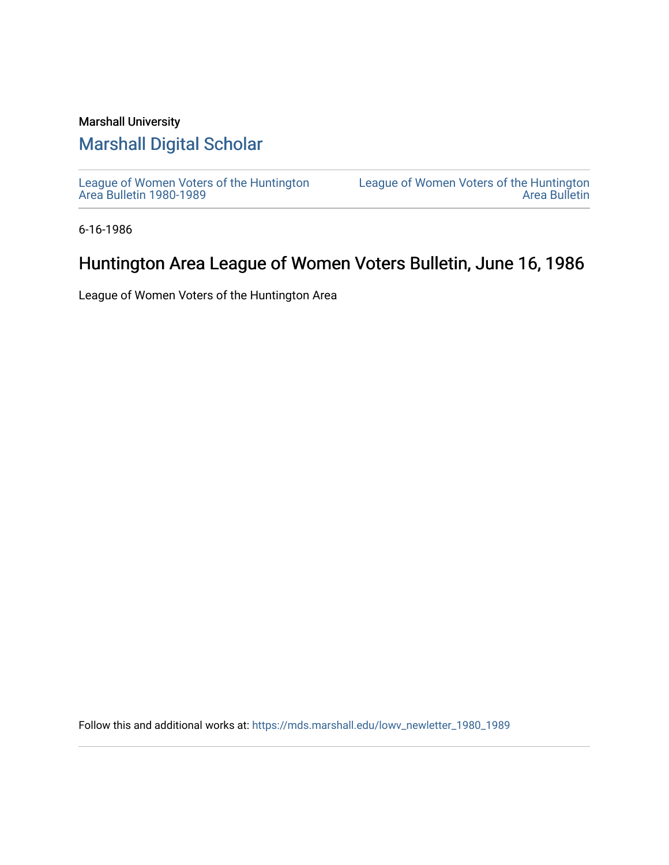### Marshall University

### [Marshall Digital Scholar](https://mds.marshall.edu/)

[League of Women Voters of the Huntington](https://mds.marshall.edu/lowv_newletter_1980_1989) [Area Bulletin 1980-1989](https://mds.marshall.edu/lowv_newletter_1980_1989) 

[League of Women Voters of the Huntington](https://mds.marshall.edu/lowv_newsletter)  [Area Bulletin](https://mds.marshall.edu/lowv_newsletter) 

6-16-1986

## Huntington Area League of Women Voters Bulletin, June 16, 1986

League of Women Voters of the Huntington Area

Follow this and additional works at: [https://mds.marshall.edu/lowv\\_newletter\\_1980\\_1989](https://mds.marshall.edu/lowv_newletter_1980_1989?utm_source=mds.marshall.edu%2Flowv_newletter_1980_1989%2F55&utm_medium=PDF&utm_campaign=PDFCoverPages)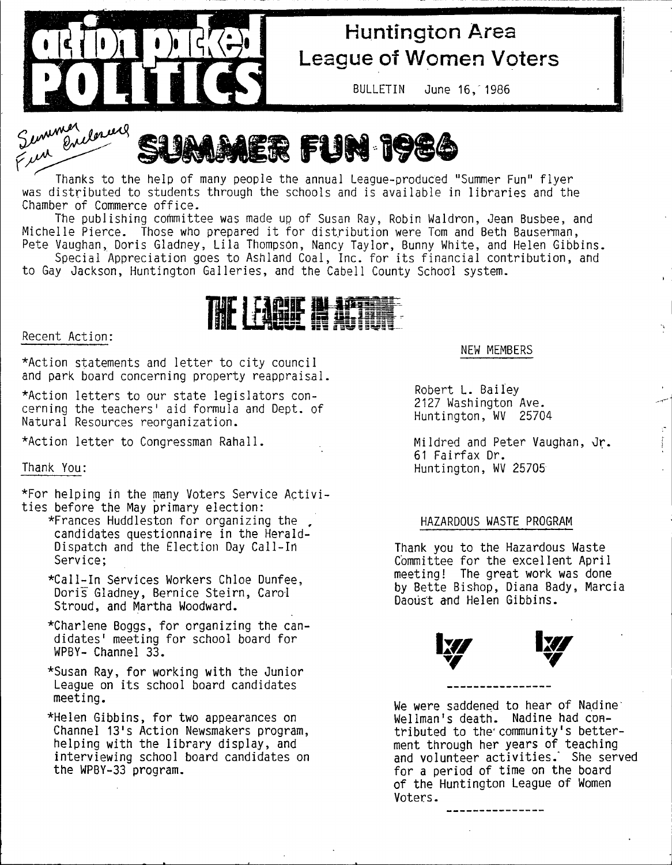

# **Huntington Area League of Women Voters**

BULLETIN June 16, 1986

Semmer donners **MER FUN 1984** 

Thanks to the help of many people the annual League-produced "Summer Fun" flyer was distributed to students through the schools and is available in libraries and the Chamber of Commerce office.

The publishing committee was made up of Susan Ray, Robin Waldron, Jean Busbee, and Michelle Pierce. Those who prepared it for distribution were Tom and Beth Bauserman, Pete Vaughan, Doris Gladney, Lila Thompson, Nancy Taylor, Bunny White, and Helen Gibbins.

Special Appreciation goes to Ashland Coal, Inc. for its financial contribution, and to Gay Jackson, Huntington Galleries, and the Cabell County School system.



#### **Recent Action:**

\*Action statements and letter to city council **and park board concerning property reappraisal.**

\*Action letters to our state legislators con**cerning the teachers' aid formula and Dept, of Natural Resources reorganization.**

\*Action letter to Congressman Rahall.

#### **Thank You:**

\*For helping in the many Voters Service Activities before the May primary election:

- \*Frances Huddleston for organizing the **candidates questionnaire in the Herald-**Dispatch and the Election Day Call-In **Service;**
	- **\*C a ll-In Services Workers Chloe Dunfee,** Doris Gladney, Bernice Steirn, Carol **Stroud, and Martha Woodward.**
	- \*Charlene Boggs, for organizing the candidates' meeting for school board for **WPBY- Channel 33.**
	- \*Susan Ray, for working with the Junior **League on its school board candidates meeting.**
	- \*Helen Gibbins, for two appearances on **Channel 13's Action Newsmakers program,** helping with the library display, and **interviewing school board candidates on the WPBY-33 program.**

#### **NEW MEMBERS**

**Robert L. Bailey 2127 Washington Ave. Huntington, WV 25704**

Mildred and Peter Vaughan, Jr. **61 Fairfax Dr. Huntington, WV 25705**

#### **HAZARDOUS WASTE PROGRAM**

**Thank you to the Hazardous Waste** Committee for the excellent April **meeting! The great work was done by Bette Bishop, Diana Bady, Marcia Daoust and Helen Gibbins.**



**We were saddened to hear of Nadinewel Iman's death. Nadine had con**tributed to the community's better**ment through her years of teaching** and volunteer activities. She served **for a period of time on the board of the Huntington League of Women Voters.**

------------